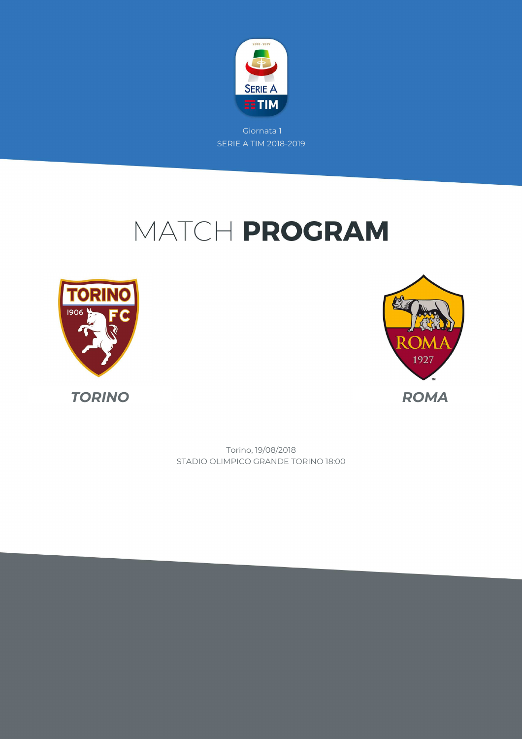

# MATCH PROGRAM





STADIO OLIMPICO GRANDE TORINO 18:00 Torino, 19/08/2018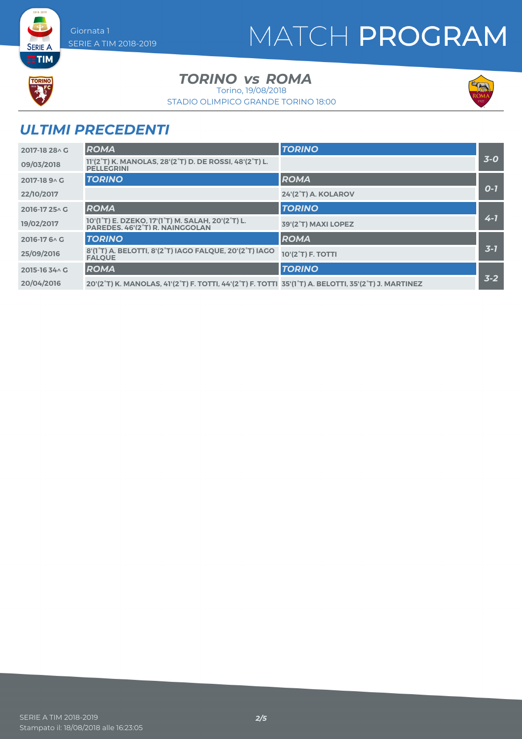# MATCH PROGRAM



**SERIE A ETIM** 

*TORINO* vs ROMA

Torino, 19/08/2018

STADIO OLIMPICO GRANDE TORINO 18:00



### *ULTIMI PRECEDENTI*

| 2017-18 28 \ G | <b>ROMA</b>                                                                                                                                                          | <b>TORINO</b>       |         |
|----------------|----------------------------------------------------------------------------------------------------------------------------------------------------------------------|---------------------|---------|
| 09/03/2018     | 11'(2°T) K. MANOLAS, 28'(2°T) D. DE ROSSI, 48'(2°T) L.<br><b>PELLEGRINI</b>                                                                                          |                     | $3-0$   |
| 2017-18 9 A G  | <b>TORINO</b>                                                                                                                                                        | <b>ROMA</b>         |         |
| 22/10/2017     |                                                                                                                                                                      | 24'(2°T) A. KOLAROV | $O-I$   |
| 2016-17 25 \ G | <b>ROMA</b>                                                                                                                                                          | <b>TORINO</b>       |         |
| 19/02/2017     | 10'(1 <sup>°</sup> T) E. DZEKO, 17'(1 <sup>°</sup> T) M. SALAH, 20'(2 <sup>°</sup> T) L.<br>PAREDES. 46'(2°T) R. NAINGGOLAN                                          | 39'(2°T) MAXI LOPEZ | $4 - 7$ |
| 2016-17 6 \ C  | <b>TORINO</b>                                                                                                                                                        | <b>ROMA</b>         |         |
| 25/09/2016     | 8'(1°T) A. BELOTTI, 8'(2°T) IAGO FALQUE, 20'(2°T) IAGO<br><b>FALOUE</b>                                                                                              | 10'(2°T) F. TOTTI   | $3 - 7$ |
| 2015-16 34 \ G | <b>ROMA</b>                                                                                                                                                          | <b>TORINO</b>       |         |
| 20/04/2016     | 20'(2 <sup>°</sup> T) K. MANOLAS, 41'(2 <sup>°</sup> T) F. TOTTI, 44'(2 <sup>°</sup> T) F. TOTTI 35'(1 <sup>°</sup> T) A. BELOTTI, 35'(2 <sup>°</sup> T) J. MARTINEZ |                     | $3 - 2$ |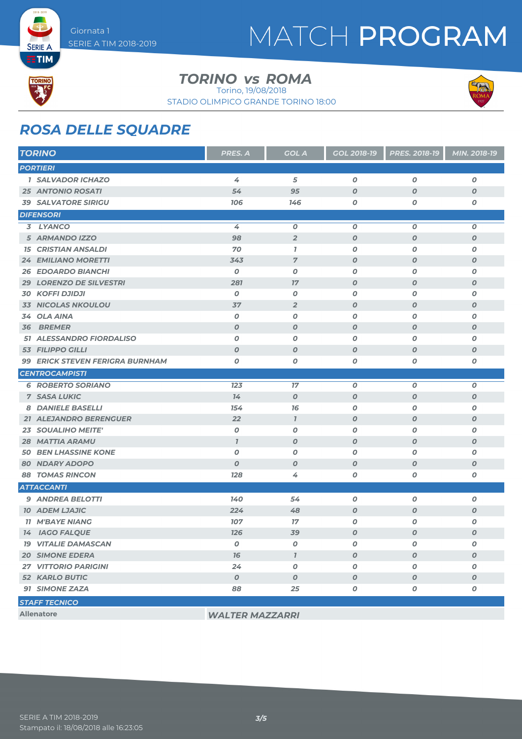## MATCH PROGRAM



**SERIE A** 

#### *TORINO* vs ROMA

Torino, 19/08/2018

STADIO OLIMPICO GRANDE TORINO 18:00



### *ROSA DELLE SQUADRE*

| <b>TORINO</b>                               | PRES. A          | <b>GOL A</b>     | <b>GOL 2018-19</b> | <b>PRES. 2018-19</b> | MIN. 2018-19     |  |
|---------------------------------------------|------------------|------------------|--------------------|----------------------|------------------|--|
| <b>PORTIERI</b>                             |                  |                  |                    |                      |                  |  |
| <b>1 SALVADOR ICHAZO</b>                    | 4                | 5                | $\boldsymbol{O}$   | $\boldsymbol{O}$     | $\boldsymbol{O}$ |  |
| <b>25 ANTONIO ROSATI</b>                    | 54               | 95               | $\boldsymbol{O}$   | $\boldsymbol{O}$     | $\boldsymbol{o}$ |  |
| <b>39 SALVATORE SIRIGU</b>                  | 706              | 146              | 0                  | 0                    | 0                |  |
| <b>DIFENSORI</b>                            |                  |                  |                    |                      |                  |  |
| 3 LYANCO                                    | 4                | 0                | $\boldsymbol{0}$   | $\boldsymbol{0}$     | 0                |  |
| 5 ARMANDO IZZO                              | 98               | $\overline{2}$   | $\boldsymbol{O}$   | $\boldsymbol{O}$     | $\boldsymbol{O}$ |  |
| <b>15 CRISTIAN ANSALDI</b>                  | 70               | $\mathbf{7}$     | $\boldsymbol{0}$   | 0                    | 0                |  |
| 24 EMILIANO MORETTI                         | 343              | $\overline{7}$   | $\boldsymbol{O}$   | $\boldsymbol{O}$     | $\boldsymbol{O}$ |  |
| <b>26 EDOARDO BIANCHI</b>                   | $\boldsymbol{0}$ | $\boldsymbol{0}$ | $\boldsymbol{O}$   | 0                    | $\boldsymbol{0}$ |  |
| <b>29 LORENZO DE SILVESTRI</b>              | 281              | 17               | $\boldsymbol{0}$   | $\boldsymbol{O}$     | $\boldsymbol{O}$ |  |
| <b>30 KOFFI DJIDJI</b>                      | $\boldsymbol{0}$ | 0                | $\boldsymbol{O}$   | 0                    | 0                |  |
| 33 NICOLAS NKOULOU                          | 37               | $\overline{2}$   | $\boldsymbol{0}$   | $\boldsymbol{O}$     | $\boldsymbol{o}$ |  |
| <b>OLA AINA</b><br>34                       | $\boldsymbol{0}$ | $\boldsymbol{0}$ | $\boldsymbol{O}$   | 0                    | $\boldsymbol{0}$ |  |
| <b>36 BREMER</b>                            | $\boldsymbol{O}$ | $\boldsymbol{0}$ | $\boldsymbol{0}$   | $\boldsymbol{O}$     | $\boldsymbol{o}$ |  |
| 51 ALESSANDRO FIORDALISO                    | 0                | 0                | $\boldsymbol{O}$   | 0                    | 0                |  |
| <b>53 FILIPPO GILLI</b>                     | $\boldsymbol{O}$ | $\boldsymbol{0}$ | $\boldsymbol{O}$   | $\boldsymbol{O}$     | $\boldsymbol{O}$ |  |
| 99 ERICK STEVEN FERIGRA BURNHAM             | $\boldsymbol{O}$ | $\boldsymbol{0}$ | 0                  | 0                    | O                |  |
| <b>CENTROCAMPISTI</b>                       |                  |                  |                    |                      |                  |  |
| <b>6 ROBERTO SORIANO</b>                    | 123              | 17               | $\boldsymbol{O}$   | $\boldsymbol{O}$     | $\boldsymbol{O}$ |  |
| <b>7 SASA LUKIC</b>                         | 14               | $\boldsymbol{0}$ | $\boldsymbol{O}$   | $\boldsymbol{O}$     | $\boldsymbol{O}$ |  |
| <b>8 DANIELE BASELLI</b>                    | 154              | 16               | 0                  | 0                    | 0                |  |
| <b>21 ALEJANDRO BERENGUER</b>               | 22               | $\mathbf{I}$     | $\boldsymbol{O}$   | $\boldsymbol{0}$     | $\boldsymbol{O}$ |  |
| <b>23 SOUALIHO MEITE'</b>                   | $\boldsymbol{0}$ | $\boldsymbol{0}$ | O                  | 0                    | 0                |  |
| <b>28 MATTIA ARAMU</b>                      | $\overline{I}$   | $\boldsymbol{0}$ | $\boldsymbol{O}$   | $\boldsymbol{O}$     | $\boldsymbol{o}$ |  |
| <b>50 BEN LHASSINE KONE</b>                 | $\boldsymbol{0}$ | $\boldsymbol{0}$ | $\boldsymbol{O}$   | $\boldsymbol{O}$     | 0                |  |
| <b>80 NDARY ADOPO</b>                       | $\boldsymbol{O}$ | $\boldsymbol{0}$ | $\boldsymbol{O}$   | $\boldsymbol{0}$     | $\boldsymbol{o}$ |  |
| <b>88 TOMAS RINCON</b>                      | <b>128</b>       | 4                | 0                  | Ο                    | 0                |  |
| <b>ATTACCANTI</b>                           |                  |                  |                    |                      |                  |  |
| 9 ANDREA BELOTTI                            | 140              | 54               | O                  | $\boldsymbol{0}$     | 0                |  |
| <b>10 ADEM LJAJIC</b>                       | 224              | 48               | $\boldsymbol{O}$   | $\boldsymbol{O}$     | $\boldsymbol{O}$ |  |
| <b>11 M'BAYE NIANG</b>                      | 107              | 17               | $\boldsymbol{O}$   | 0                    | O                |  |
| <b>14 IAGO FALQUE</b>                       | <b>126</b>       | 39               | $\boldsymbol{O}$   | O                    | $\boldsymbol{O}$ |  |
| <b>19 VITALIE DAMASCAN</b>                  | O                | 0                | O                  | O                    | 0                |  |
| <b>20 SIMONE EDERA</b>                      | 16               | $\mathbf{7}$     | $\boldsymbol{O}$   | $\boldsymbol{O}$     | $\boldsymbol{O}$ |  |
| <b>27 VITTORIO PARIGINI</b>                 | 24               | $\pmb{o}$        | 0                  | O                    | 0                |  |
| <b>52 KARLO BUTIC</b>                       | $\boldsymbol{0}$ | $\boldsymbol{O}$ | 0                  | $\boldsymbol{O}$     | $\boldsymbol{o}$ |  |
| 91 SIMONE ZAZA                              | 88               | 25               | 0                  | 0                    | 0                |  |
| <b>STAFF TECNICO</b>                        |                  |                  |                    |                      |                  |  |
| <b>Allenatore</b><br><b>WALTER MAZZARRI</b> |                  |                  |                    |                      |                  |  |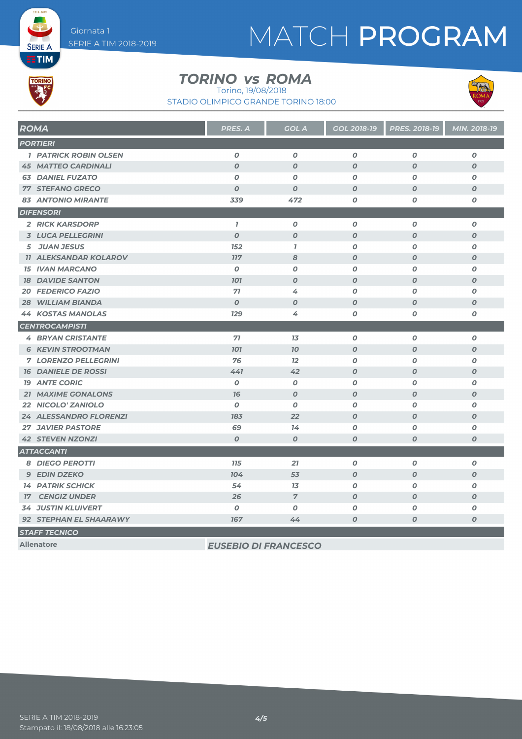# MATCH PROGRAM



**SERIE A** 

#### *TORINO* vs ROMA

Torino, 19/08/2018

STADIO OLIMPICO GRANDE TORINO 18:00



| <b>ROMA</b>                   | PRES. A          | <b>GOL A</b>     | GOL 2018-19      | PRES. 2018-19    | MIN. 2018-19     |  |
|-------------------------------|------------------|------------------|------------------|------------------|------------------|--|
| <b>PORTIERI</b>               |                  |                  |                  |                  |                  |  |
| <b>1 PATRICK ROBIN OLSEN</b>  | $\boldsymbol{0}$ | $\boldsymbol{0}$ | $\boldsymbol{0}$ | $\boldsymbol{O}$ | $\boldsymbol{o}$ |  |
| <b>45 MATTEO CARDINALI</b>    | $\boldsymbol{O}$ | $\boldsymbol{O}$ | $\boldsymbol{O}$ | $\boldsymbol{O}$ | $\boldsymbol{O}$ |  |
| <b>63 DANIEL FUZATO</b>       | $\boldsymbol{O}$ | $\boldsymbol{O}$ | $\boldsymbol{O}$ | $\boldsymbol{0}$ | 0                |  |
| <b>77 STEFANO GRECO</b>       | $\boldsymbol{O}$ | $\boldsymbol{O}$ | $\boldsymbol{O}$ | $\boldsymbol{O}$ | $\boldsymbol{O}$ |  |
| <b>83 ANTONIO MIRANTE</b>     | 339              | 472              | 0                | O                | 0                |  |
| <b>DIFENSORI</b>              |                  |                  |                  |                  |                  |  |
| <b>2 RICK KARSDORP</b>        | $\mathbf{7}$     | $\boldsymbol{o}$ | $\boldsymbol{O}$ | $\boldsymbol{O}$ | $\boldsymbol{O}$ |  |
| <b>3 LUCA PELLEGRINI</b>      | $\boldsymbol{O}$ | $\overline{O}$   | $\boldsymbol{O}$ | $\boldsymbol{O}$ | $\boldsymbol{O}$ |  |
| 5 JUAN JESUS                  | 152              | $\mathbf{7}$     | $\boldsymbol{O}$ | $\boldsymbol{O}$ | $\boldsymbol{O}$ |  |
| <b>11 ALEKSANDAR KOLAROV</b>  | <b>117</b>       | 8                | $\boldsymbol{O}$ | $\boldsymbol{O}$ | $\boldsymbol{O}$ |  |
| <b>15 IVAN MARCANO</b>        | $\boldsymbol{0}$ | $\boldsymbol{O}$ | $\boldsymbol{O}$ | $\boldsymbol{O}$ | $\boldsymbol{O}$ |  |
| <b>18 DAVIDE SANTON</b>       | <b>101</b>       | $\boldsymbol{O}$ | $\boldsymbol{O}$ | $\boldsymbol{O}$ | $\boldsymbol{O}$ |  |
| <b>20 FEDERICO FAZIO</b>      | 71               | 4                | $\boldsymbol{O}$ | $\boldsymbol{O}$ | $\boldsymbol{O}$ |  |
| <b>WILLIAM BIANDA</b><br>28   | $\boldsymbol{0}$ | $\boldsymbol{O}$ | $\boldsymbol{O}$ | $\boldsymbol{O}$ | $\boldsymbol{O}$ |  |
| <b>44 KOSTAS MANOLAS</b>      | 129              | 4                | $\boldsymbol{O}$ | O                | $\boldsymbol{o}$ |  |
| <b>CENTROCAMPISTI</b>         |                  |                  |                  |                  |                  |  |
| <b>4 BRYAN CRISTANTE</b>      | 71               | 13               | $\pmb{o}$        | $\boldsymbol{o}$ | 0                |  |
| <b>6 KEVIN STROOTMAN</b>      | <b>101</b>       | 70               | $\boldsymbol{O}$ | $\boldsymbol{O}$ | $\boldsymbol{o}$ |  |
| <b>7 LORENZO PELLEGRINI</b>   | 76               | 12               | 0                | $\boldsymbol{O}$ | 0                |  |
| <b>16 DANIELE DE ROSSI</b>    | 441              | 42               | $\boldsymbol{O}$ | $\boldsymbol{O}$ | $\boldsymbol{o}$ |  |
| <b>19 ANTE CORIC</b>          | $\boldsymbol{0}$ | $\boldsymbol{0}$ | $\boldsymbol{O}$ | $\boldsymbol{O}$ | 0                |  |
| 21 MAXIME GONALONS            | 76               | $\boldsymbol{O}$ | $\overline{O}$   | $\boldsymbol{O}$ | $\boldsymbol{O}$ |  |
| 22 NICOLO' ZANIOLO            | $\boldsymbol{O}$ | $\boldsymbol{o}$ | $\boldsymbol{0}$ | $\boldsymbol{O}$ | $\boldsymbol{0}$ |  |
| <b>24 ALESSANDRO FLORENZI</b> | 183              | 22               | $\boldsymbol{O}$ | $\boldsymbol{O}$ | $\boldsymbol{O}$ |  |
| <b>27 JAVIER PASTORE</b>      | 69               | 14               | 0                | 0                | $\boldsymbol{o}$ |  |
| <b>42 STEVEN NZONZI</b>       | $\boldsymbol{0}$ | $\boldsymbol{O}$ | $\boldsymbol{O}$ | $\boldsymbol{O}$ | $\boldsymbol{O}$ |  |
| <b>ATTACCANTI</b>             |                  |                  |                  |                  |                  |  |
| <b>8 DIEGO PEROTTI</b>        | <b>715</b>       | 21               | $\boldsymbol{O}$ | O                | 0                |  |
| <b>9 EDIN DZEKO</b>           | 104              | 53               | $\boldsymbol{O}$ | $\boldsymbol{O}$ | $\boldsymbol{o}$ |  |
| <b>14 PATRIK SCHICK</b>       | 54               | 13               | $\boldsymbol{0}$ | O                | 0                |  |
| <b>17 CENGIZ UNDER</b>        | 26               | $\overline{7}$   | $\boldsymbol{O}$ | $\boldsymbol{O}$ | $\boldsymbol{o}$ |  |
| <b>34 JUSTIN KLUIVERT</b>     | $\boldsymbol{0}$ | 0                | $\boldsymbol{O}$ | O                | Ο                |  |
| 92 STEPHAN EL SHAARAWY        | 167              | 44               | O                | $\boldsymbol{O}$ | 0                |  |
| <b>STAFF TECNICO</b>          |                  |                  |                  |                  |                  |  |

**Allenatore** *EUSEBIO DI FRANCESCO*